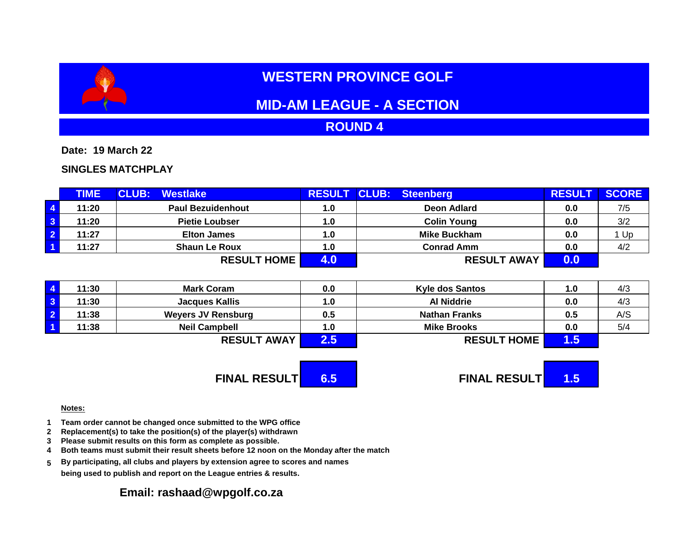# **WESTERN PROVINCE GOLF**

## **MID-AM LEAGUE - A SECTION**

## **ROUND 4**

**Date: 19 March 22**

### **SINGLES MATCHPLAY**

|                         | <b>TIME</b> | <b>CLUB:</b><br><b>Westlake</b> | <b>RESULT CLUB:</b> | <b>Steenberg</b>    | <b>RESULT</b> | <b>SCORE</b> |
|-------------------------|-------------|---------------------------------|---------------------|---------------------|---------------|--------------|
| $\overline{4}$          | 11:20       | <b>Paul Bezuidenhout</b>        | 1.0                 | Deon Adlard         | 0.0           | 7/5          |
| $\overline{\mathbf{3}}$ | 11:20       | <b>Pietie Loubser</b>           | 1.0                 | <b>Colin Young</b>  | 0.0           | 3/2          |
| $\overline{2}$          | 11:27       | <b>Elton James</b>              | 1.0                 | <b>Mike Buckham</b> | 0.0           | Up           |
| $\vert$ 1               | 11:27       | <b>Shaun Le Roux</b>            | 1.0                 | <b>Conrad Amm</b>   | 0.0           | 4/2          |
|                         |             | <b>RESULT HOME</b>              |                     | <b>RESULT AWAY</b>  | 0.0           |              |

| 11:30 | <b>Mark Coram</b>         | 0.0           | <b>Kyle dos Santos</b> | 1.0 | 4/3 |
|-------|---------------------------|---------------|------------------------|-----|-----|
| 11:30 | <b>Jacques Kallis</b>     | 1.0           | <b>Al Niddrie</b>      | 0.0 | 4/3 |
| 11:38 | <b>Weyers JV Rensburg</b> | 0.5           | <b>Nathan Franks</b>   | 0.5 | A/S |
| 11:38 | <b>Neil Campbell</b>      | 1.0           | <b>Mike Brooks</b>     | 0.0 | 5/4 |
|       | <b>RESULT AWAY</b>        | $2.5^{\circ}$ | <b>RESULT HOME</b>     | 1.5 |     |

# **FINAL RESULT 6.5 FINAL RESULT 1.5**

#### **Notes:**

- **1 Team order cannot be changed once submitted to the WPG office**
- **2 Replacement(s) to take the position(s) of the player(s) withdrawn**
- **3 Please submit results on this form as complete as possible.**
- **4 Both teams must submit their result sheets before 12 noon on the Monday after the match**
- **5 By participating, all clubs and players by extension agree to scores and names being used to publish and report on the League entries & results.**

## **Email: rashaad@wpgolf.co.za**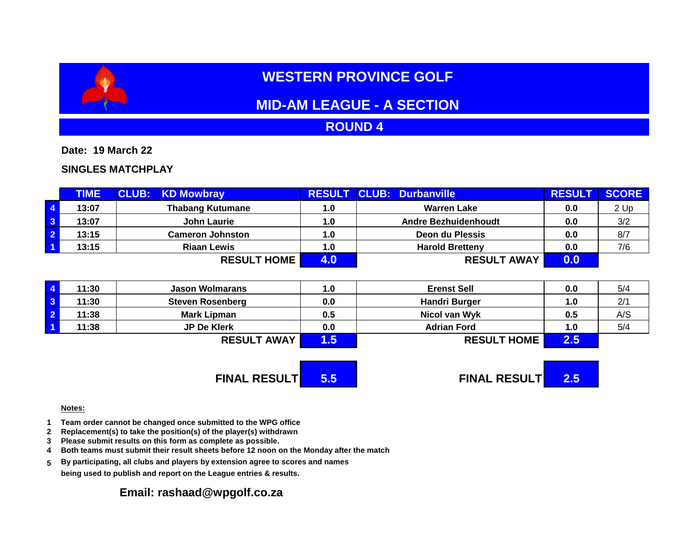# **WESTERN PROVINCE GOLF**

## **MID-AM LEAGUE - A SECTION**

## **ROUND 4**

**Date: 19 March 22**

### **SINGLES MATCHPLAY**

|                         | <b>TIME</b> | <b>CLUB: KD Mowbray</b> |     | <b>RESULT CLUB: Durbanville</b> | <b>RESUL</b> | <b>SCORE</b> |
|-------------------------|-------------|-------------------------|-----|---------------------------------|--------------|--------------|
| $\overline{4}$          | 13:07       | <b>Thabang Kutumane</b> | 1.0 | <b>Warren Lake</b>              | 0.0          | 2 Up         |
| $\overline{\mathbf{3}}$ | 13:07       | <b>John Laurie</b>      | 1.0 | Andre Bezhuidenhoudt            | 0.0          | 3/2          |
| $\overline{2}$          | 13:15       | <b>Cameron Johnston</b> | 1.0 | Deon du Plessis                 | 0.0          | 8/7          |
| $\overline{1}$          | 13:15       | <b>Riaan Lewis</b>      | 1.0 | <b>Harold Bretteny</b>          | 0.0          | 7/6          |
|                         |             | <b>RESULT HOME</b>      |     | <b>RESULT AWAY</b>              | 0.0          |              |

| 11:30 | <b>Jason Wolmarans</b>  | 1.0 | <b>Erenst Sell</b>   | 0.0 | 5/4 |
|-------|-------------------------|-----|----------------------|-----|-----|
| 11:30 | <b>Steven Rosenberg</b> | 0.0 | <b>Handri Burger</b> | 1.0 | 2/1 |
| 11:38 | <b>Mark Lipman</b>      | 0.5 | Nicol van Wyk        | 0.5 | A/S |
| 11:38 | <b>JP De Klerk</b>      | 0.0 | <b>Adrian Ford</b>   | 1.0 | 5/4 |
|       | <b>RESULT AWAY</b>      | וט. | <b>RESULT HOME</b>   | 2.5 |     |

**FINAL RESULT 5.5 FINAL RESULT 2.5**

#### **Notes:**

- **1 Team order cannot be changed once submitted to the WPG office**
- **2 Replacement(s) to take the position(s) of the player(s) withdrawn**
- **3 Please submit results on this form as complete as possible.**
- **4 Both teams must submit their result sheets before 12 noon on the Monday after the match**
- **5 By participating, all clubs and players by extension agree to scores and names being used to publish and report on the League entries & results.**

### **Email: rashaad@wpgolf.co.za**